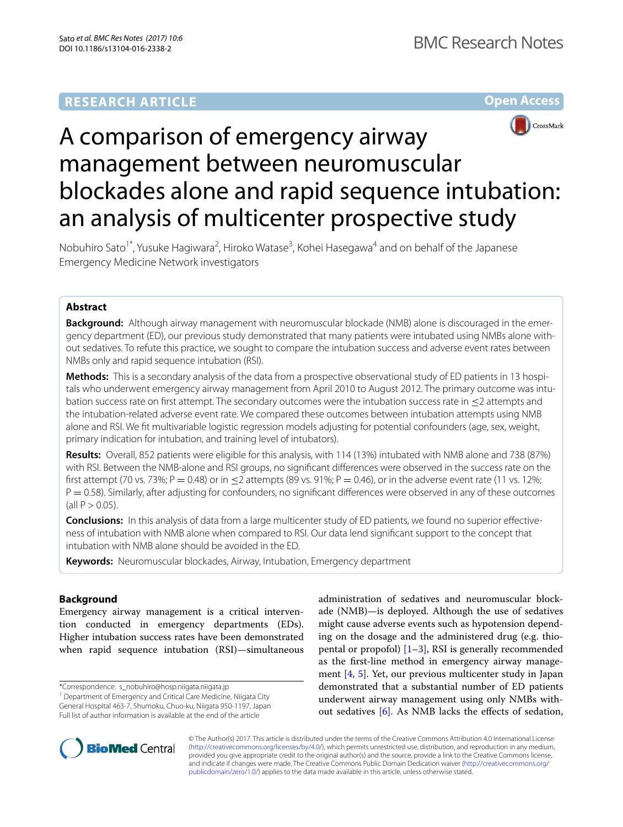## **RESEARCH ARTICLE**

**Open Access**



# A comparison of emergency airway management between neuromuscular blockades alone and rapid sequence intubation: an analysis of multicenter prospective study

Nobuhiro Sato<sup>1\*</sup>, Yusuke Hagiwara<sup>2</sup>, Hiroko Watase<sup>3</sup>, Kohei Hasegawa<sup>4</sup> and on behalf of the Japanese Emergency Medicine Network investigators

## **Abstract**

**Background:** Although airway management with neuromuscular blockade (NMB) alone is discouraged in the emergency department (ED), our previous study demonstrated that many patients were intubated using NMBs alone without sedatives. To refute this practice, we sought to compare the intubation success and adverse event rates between NMBs only and rapid sequence intubation (RSI).

**Methods:** This is a secondary analysis of the data from a prospective observational study of ED patients in 13 hospitals who underwent emergency airway management from April 2010 to August 2012. The primary outcome was intubation success rate on first attempt. The secondary outcomes were the intubation success rate in ≤2 attempts and the intubation-related adverse event rate. We compared these outcomes between intubation attempts using NMB alone and RSI. We fit multivariable logistic regression models adjusting for potential confounders (age, sex, weight, primary indication for intubation, and training level of intubators).

**Results:** Overall, 852 patients were eligible for this analysis, with 114 (13%) intubated with NMB alone and 738 (87%) with RSI. Between the NMB-alone and RSI groups, no significant differences were observed in the success rate on the first attempt (70 vs. 73%; P = 0.48) or in  $\leq$ 2 attempts (89 vs. 91%; P = 0.46), or in the adverse event rate (11 vs. 12%;  $P = 0.58$ ). Similarly, after adjusting for confounders, no significant differences were observed in any of these outcomes  $\text{(all } P > 0.05).$ 

**Conclusions:** In this analysis of data from a large multicenter study of ED patients, we found no superior effectiveness of intubation with NMB alone when compared to RSI. Our data lend significant support to the concept that intubation with NMB alone should be avoided in the ED.

**Keywords:** Neuromuscular blockades, Airway, Intubation, Emergency department

## **Background**

Emergency airway management is a critical intervention conducted in emergency departments (EDs). Higher intubation success rates have been demonstrated when rapid sequence intubation (RSI)—simultaneous

\*Correspondence: s\_nobuhiro@hosp.niigata.niigata.jp

administration of sedatives and neuromuscular blockade (NMB)—is deployed. Although the use of sedatives might cause adverse events such as hypotension depending on the dosage and the administered drug (e.g. thiopental or propofol)  $[1-3]$  $[1-3]$  $[1-3]$ , RSI is generally recommended as the first-line method in emergency airway management [\[4](#page-6-2), [5](#page-6-3)]. Yet, our previous multicenter study in Japan demonstrated that a substantial number of ED patients underwent airway management using only NMBs without sedatives [[6](#page-6-4)]. As NMB lacks the effects of sedation,



© The Author(s) 2017. This article is distributed under the terms of the Creative Commons Attribution 4.0 International License [\(http://creativecommons.org/licenses/by/4.0/\)](http://creativecommons.org/licenses/by/4.0/), which permits unrestricted use, distribution, and reproduction in any medium, provided you give appropriate credit to the original author(s) and the source, provide a link to the Creative Commons license, and indicate if changes were made. The Creative Commons Public Domain Dedication waiver ([http://creativecommons.org/](http://creativecommons.org/publicdomain/zero/1.0/) [publicdomain/zero/1.0/](http://creativecommons.org/publicdomain/zero/1.0/)) applies to the data made available in this article, unless otherwise stated.

<sup>&</sup>lt;sup>1</sup> Department of Emergency and Critical Care Medicine, Niigata City General Hospital 463-7, Shumoku, Chuo-ku, Niigata 950-1197, Japan Full list of author information is available at the end of the article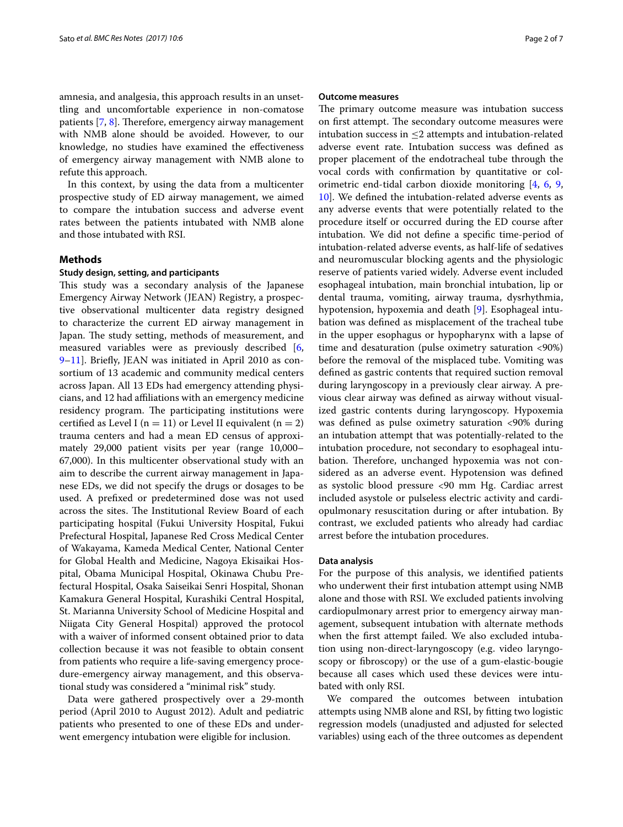amnesia, and analgesia, this approach results in an unsettling and uncomfortable experience in non-comatose patients [[7,](#page-6-5) [8](#page-6-6)]. Therefore, emergency airway management with NMB alone should be avoided. However, to our knowledge, no studies have examined the effectiveness of emergency airway management with NMB alone to refute this approach.

In this context, by using the data from a multicenter prospective study of ED airway management, we aimed to compare the intubation success and adverse event rates between the patients intubated with NMB alone and those intubated with RSI.

## **Methods**

## **Study design, setting, and participants**

This study was a secondary analysis of the Japanese Emergency Airway Network (JEAN) Registry, a prospective observational multicenter data registry designed to characterize the current ED airway management in Japan. The study setting, methods of measurement, and measured variables were as previously described [\[6](#page-6-4), [9–](#page-6-7)[11](#page-6-8)]. Briefly, JEAN was initiated in April 2010 as consortium of 13 academic and community medical centers across Japan. All 13 EDs had emergency attending physicians, and 12 had affiliations with an emergency medicine residency program. The participating institutions were certified as Level I ( $n = 11$ ) or Level II equivalent ( $n = 2$ ) trauma centers and had a mean ED census of approximately 29,000 patient visits per year (range 10,000– 67,000). In this multicenter observational study with an aim to describe the current airway management in Japanese EDs, we did not specify the drugs or dosages to be used. A prefixed or predetermined dose was not used across the sites. The Institutional Review Board of each participating hospital (Fukui University Hospital, Fukui Prefectural Hospital, Japanese Red Cross Medical Center of Wakayama, Kameda Medical Center, National Center for Global Health and Medicine, Nagoya Ekisaikai Hospital, Obama Municipal Hospital, Okinawa Chubu Prefectural Hospital, Osaka Saiseikai Senri Hospital, Shonan Kamakura General Hospital, Kurashiki Central Hospital, St. Marianna University School of Medicine Hospital and Niigata City General Hospital) approved the protocol with a waiver of informed consent obtained prior to data collection because it was not feasible to obtain consent from patients who require a life-saving emergency procedure-emergency airway management, and this observational study was considered a "minimal risk" study.

Data were gathered prospectively over a 29-month period (April 2010 to August 2012). Adult and pediatric patients who presented to one of these EDs and underwent emergency intubation were eligible for inclusion.

## **Outcome measures**

The primary outcome measure was intubation success on first attempt. The secondary outcome measures were intubation success in ≤2 attempts and intubation-related adverse event rate. Intubation success was defined as proper placement of the endotracheal tube through the vocal cords with confirmation by quantitative or colorimetric end-tidal carbon dioxide monitoring [\[4,](#page-6-2) [6](#page-6-4), [9](#page-6-7), [10\]](#page-6-9). We defined the intubation-related adverse events as any adverse events that were potentially related to the procedure itself or occurred during the ED course after intubation. We did not define a specific time-period of intubation-related adverse events, as half-life of sedatives and neuromuscular blocking agents and the physiologic reserve of patients varied widely. Adverse event included esophageal intubation, main bronchial intubation, lip or dental trauma, vomiting, airway trauma, dysrhythmia, hypotension, hypoxemia and death [[9\]](#page-6-7). Esophageal intubation was defined as misplacement of the tracheal tube in the upper esophagus or hypopharynx with a lapse of time and desaturation (pulse oximetry saturation <90%) before the removal of the misplaced tube. Vomiting was defined as gastric contents that required suction removal during laryngoscopy in a previously clear airway. A previous clear airway was defined as airway without visualized gastric contents during laryngoscopy. Hypoxemia was defined as pulse oximetry saturation <90% during an intubation attempt that was potentially-related to the intubation procedure, not secondary to esophageal intubation. Therefore, unchanged hypoxemia was not considered as an adverse event. Hypotension was defined as systolic blood pressure <90 mm Hg. Cardiac arrest included asystole or pulseless electric activity and cardiopulmonary resuscitation during or after intubation. By contrast, we excluded patients who already had cardiac arrest before the intubation procedures.

## **Data analysis**

For the purpose of this analysis, we identified patients who underwent their first intubation attempt using NMB alone and those with RSI. We excluded patients involving cardiopulmonary arrest prior to emergency airway management, subsequent intubation with alternate methods when the first attempt failed. We also excluded intubation using non-direct-laryngoscopy (e.g. video laryngoscopy or fibroscopy) or the use of a gum-elastic-bougie because all cases which used these devices were intubated with only RSI.

We compared the outcomes between intubation attempts using NMB alone and RSI, by fitting two logistic regression models (unadjusted and adjusted for selected variables) using each of the three outcomes as dependent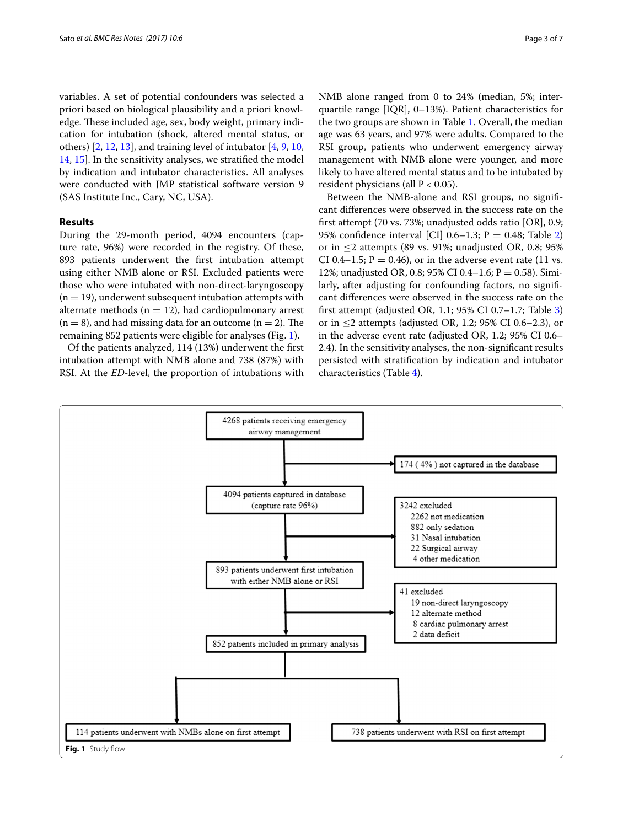variables. A set of potential confounders was selected a priori based on biological plausibility and a priori knowledge. These included age, sex, body weight, primary indication for intubation (shock, altered mental status, or others) [\[2](#page-6-10), [12](#page-6-11), [13\]](#page-6-12), and training level of intubator [[4,](#page-6-2) [9,](#page-6-7) [10](#page-6-9), [14,](#page-6-13) [15\]](#page-6-14). In the sensitivity analyses, we stratified the model by indication and intubator characteristics. All analyses were conducted with JMP statistical software version 9 (SAS Institute Inc., Cary, NC, USA).

## **Results**

During the 29-month period, 4094 encounters (capture rate, 96%) were recorded in the registry. Of these, 893 patients underwent the first intubation attempt using either NMB alone or RSI. Excluded patients were those who were intubated with non-direct-laryngoscopy  $(n = 19)$ , underwent subsequent intubation attempts with alternate methods ( $n = 12$ ), had cardiopulmonary arrest  $(n = 8)$ , and had missing data for an outcome  $(n = 2)$ . The remaining 852 patients were eligible for analyses (Fig. [1](#page-2-0)).

Of the patients analyzed, 114 (13%) underwent the first intubation attempt with NMB alone and 738 (87%) with RSI. At the *ED*-level, the proportion of intubations with NMB alone ranged from 0 to 24% (median, 5%; interquartile range [IQR], 0–13%). Patient characteristics for the two groups are shown in Table [1.](#page-3-0) Overall, the median age was 63 years, and 97% were adults. Compared to the RSI group, patients who underwent emergency airway management with NMB alone were younger, and more likely to have altered mental status and to be intubated by resident physicians (all  $P < 0.05$ ).

Between the NMB-alone and RSI groups, no significant differences were observed in the success rate on the first attempt (70 vs. 73%; unadjusted odds ratio [OR], 0.9; 95% confidence interval [CI] 0.6–1.3;  $P = 0.48$ ; Table [2](#page-4-0)) or in  $\leq$  2 attempts (89 vs. 91%; unadjusted OR, 0.8; 95%) CI 0.4–1.5;  $P = 0.46$ ), or in the adverse event rate (11 vs. 12%; unadjusted OR, 0.8; 95% CI 0.4-1.6;  $P = 0.58$ ). Similarly, after adjusting for confounding factors, no significant differences were observed in the success rate on the first attempt (adjusted OR, 1.1; 95% CI 0.7–1.7; Table [3](#page-4-1)) or in  $\leq$ 2 attempts (adjusted OR, 1.2; 95% CI 0.6–2.3), or in the adverse event rate (adjusted OR, 1.2; 95% CI 0.6– 2.4). In the sensitivity analyses, the non-significant results persisted with stratification by indication and intubator characteristics (Table [4\)](#page-4-2).

<span id="page-2-0"></span>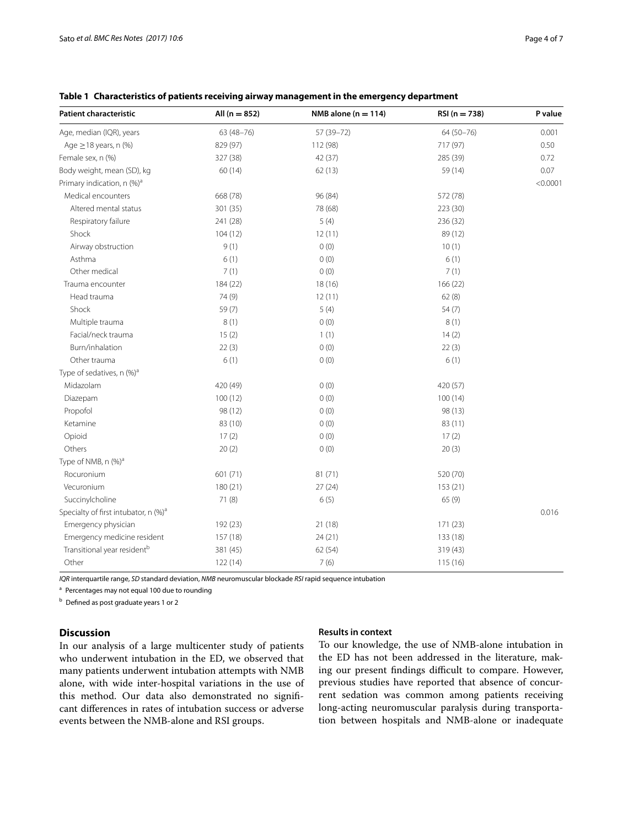| <b>Patient characteristic</b>                    | All $(n = 852)$ | NMB alone ( $n = 114$ ) | $RSI(n = 738)$ | P value  |
|--------------------------------------------------|-----------------|-------------------------|----------------|----------|
| Age, median (IQR), years                         | 63 (48-76)      | 57 (39-72)              | 64 (50-76)     | 0.001    |
| Age $\geq$ 18 years, n (%)                       | 829 (97)        | 112 (98)                | 717 (97)       | 0.50     |
| Female sex, n (%)                                | 327 (38)        | 42 (37)                 | 285 (39)       | 0.72     |
| Body weight, mean (SD), kg                       | 60(14)          | 62(13)                  | 59 (14)        | 0.07     |
| Primary indication, n (%) <sup>a</sup>           |                 |                         |                | < 0.0001 |
| Medical encounters                               | 668 (78)        | 96 (84)                 | 572 (78)       |          |
| Altered mental status                            | 301 (35)        | 78 (68)                 | 223 (30)       |          |
| Respiratory failure                              | 241 (28)        | 5(4)                    | 236 (32)       |          |
| Shock                                            | 104(12)         | 12(11)                  | 89 (12)        |          |
| Airway obstruction                               | 9(1)            | 0(0)                    | 10(1)          |          |
| Asthma                                           | 6(1)            | 0(0)                    | 6(1)           |          |
| Other medical                                    | 7(1)            | 0(0)                    | 7(1)           |          |
| Trauma encounter                                 | 184 (22)        | 18 (16)                 | 166 (22)       |          |
| Head trauma                                      | 74 (9)          | 12(11)                  | 62(8)          |          |
| Shock                                            | 59(7)           | 5(4)                    | 54(7)          |          |
| Multiple trauma                                  | 8(1)            | 0(0)                    | 8(1)           |          |
| Facial/neck trauma                               | 15(2)           | 1(1)                    | 14(2)          |          |
| Burn/inhalation                                  | 22(3)           | 0(0)                    | 22(3)          |          |
| Other trauma                                     | 6(1)            | 0(0)                    | 6(1)           |          |
| Type of sedatives, n (%) <sup>a</sup>            |                 |                         |                |          |
| Midazolam                                        | 420 (49)        | 0(0)                    | 420 (57)       |          |
| Diazepam                                         | 100(12)         | 0(0)                    | 100(14)        |          |
| Propofol                                         | 98 (12)         | 0(0)                    | 98 (13)        |          |
| Ketamine                                         | 83 (10)         | 0(0)                    | 83 (11)        |          |
| Opioid                                           | 17(2)           | 0(0)                    | 17(2)          |          |
| Others                                           | 20(2)           | 0(0)                    | 20(3)          |          |
| Type of NMB, n (%) <sup>a</sup>                  |                 |                         |                |          |
| Rocuronium                                       | 601 (71)        | 81(71)                  | 520 (70)       |          |
| Vecuronium                                       | 180 (21)        | 27(24)                  | 153(21)        |          |
| Succinylcholine                                  | 71 (8)          | 6(5)                    | 65(9)          |          |
| Specialty of first intubator, n (%) <sup>a</sup> |                 |                         |                | 0.016    |
| Emergency physician                              | 192 (23)        | 21 (18)                 | 171(23)        |          |
| Emergency medicine resident                      | 157 (18)        | 24(21)                  | 133 (18)       |          |
| Transitional year resident <sup>b</sup>          | 381 (45)        | 62(54)                  | 319 (43)       |          |
| Other                                            | 122 (14)        | 7(6)                    | 115 (16)       |          |

<span id="page-3-0"></span>**Table 1 Characteristics of patients receiving airway management in the emergency department**

*IQR* interquartile range, *SD* standard deviation, *NMB* neuromuscular blockade *RSI* rapid sequence intubation

a Percentages may not equal 100 due to rounding

<sup>b</sup> Defined as post graduate years 1 or 2

## **Discussion**

In our analysis of a large multicenter study of patients who underwent intubation in the ED, we observed that many patients underwent intubation attempts with NMB alone, with wide inter-hospital variations in the use of this method. Our data also demonstrated no significant differences in rates of intubation success or adverse events between the NMB-alone and RSI groups.

## **Results in context**

To our knowledge, the use of NMB-alone intubation in the ED has not been addressed in the literature, making our present findings difficult to compare. However, previous studies have reported that absence of concurrent sedation was common among patients receiving long-acting neuromuscular paralysis during transportation between hospitals and NMB-alone or inadequate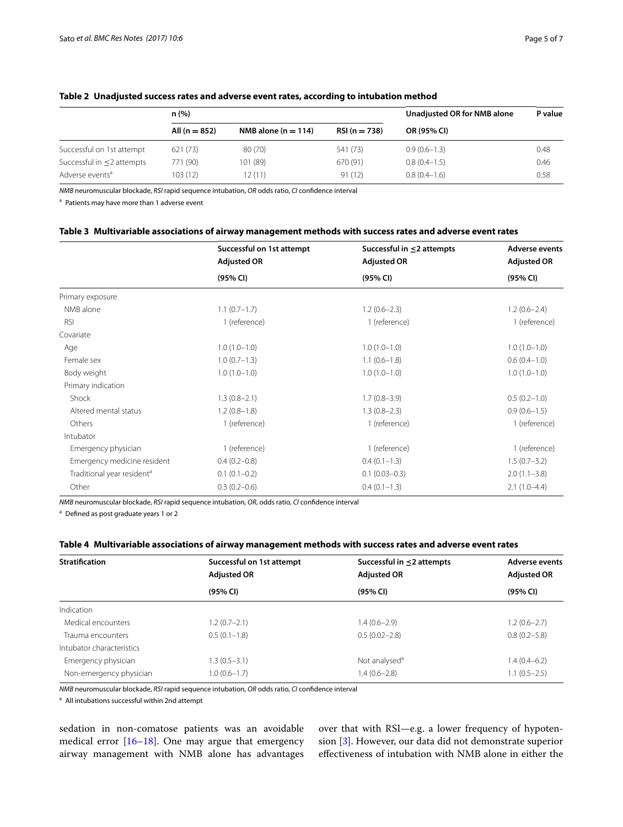|                             | n (%)             |                         |                | Unadjusted OR for NMB alone | P value |
|-----------------------------|-------------------|-------------------------|----------------|-----------------------------|---------|
|                             | All ( $n = 852$ ) | NMB alone ( $n = 114$ ) | $RSI(n = 738)$ | OR (95% CI)                 |         |
| Successful on 1st attempt   | 621 (73)          | 80 (70)                 | 541 (73)       | $0.9(0.6-1.3)$              | 0.48    |
| Successful in <2 attempts   | 771 (90)          | 101 (89)                | 670 (91)       | $0.8(0.4-1.5)$              | 0.46    |
| Adverse events <sup>a</sup> | 103 (12)          | 12 (11)                 | 91(12)         | $0.8(0.4-1.6)$              | 0.58    |

## <span id="page-4-0"></span>**Table 2 Unadjusted success rates and adverse event rates, according to intubation method**

*NMB* neuromuscular blockade, *RSI* rapid sequence intubation, *OR* odds ratio, *CI* confidence interval

<sup>a</sup> Patients may have more than 1 adverse event

## <span id="page-4-1"></span>**Table 3 Multivariable associations of airway management methods with success rates and adverse event rates**

|                                        | Successful on 1st attempt | Successful in $\leq$ 2 attempts | <b>Adverse events</b> |  |
|----------------------------------------|---------------------------|---------------------------------|-----------------------|--|
|                                        | <b>Adjusted OR</b>        | <b>Adjusted OR</b>              | <b>Adjusted OR</b>    |  |
|                                        | (95% CI)                  | (95% CI)                        | (95% CI)              |  |
| Primary exposure                       |                           |                                 |                       |  |
| NMB alone                              | $1.1(0.7-1.7)$            | $1.2(0.6-2.3)$                  | $1.2(0.6-2.4)$        |  |
| <b>RSI</b>                             | 1 (reference)             | 1 (reference)                   | 1 (reference)         |  |
| Covariate                              |                           |                                 |                       |  |
| Age                                    | $1.0(1.0-1.0)$            | $1.0(1.0-1.0)$                  | $1.0(1.0-1.0)$        |  |
| Female sex                             | $1.0(0.7-1.3)$            | $1.1(0.6-1.8)$                  | $0.6(0.4-1.0)$        |  |
| Body weight                            | $1.0(1.0-1.0)$            | $1.0(1.0-1.0)$                  | $1.0(1.0-1.0)$        |  |
| Primary indication                     |                           |                                 |                       |  |
| Shock                                  | $1.3(0.8-2.1)$            | $1.7(0.8-3.9)$                  | $0.5(0.2-1.0)$        |  |
| Altered mental status                  | $1.2(0.8-1.8)$            | $1.3(0.8-2.3)$                  | $0.9(0.6 - 1.5)$      |  |
| Others                                 | 1 (reference)             | 1 (reference)                   | 1 (reference)         |  |
| Intubator                              |                           |                                 |                       |  |
| Emergency physician                    | 1 (reference)             | 1 (reference)                   | 1 (reference)         |  |
| Emergency medicine resident            | $0.4(0.2 - 0.8)$          | $0.4(0.1-1.3)$                  | $1.5(0.7-3.2)$        |  |
| Traditional year resident <sup>a</sup> | $0.1(0.1-0.2)$            | $0.1(0.03-0.3)$                 | $2.0(1.1-3.8)$        |  |
| Other                                  | $0.3(0.2 - 0.6)$          | $0.4(0.1-1.3)$                  | $2.1(1.0-4.4)$        |  |

*NMB* neuromuscular blockade, *RSI* rapid sequence intubation, *OR*, odds ratio, *CI* confidence interval

<sup>a</sup> Defined as post graduate years 1 or 2

## <span id="page-4-2"></span>**Table 4 Multivariable associations of airway management methods with success rates and adverse event rates**

| <b>Stratification</b>     | Successful on 1st attempt | Successful in $\leq$ 2 attempts | <b>Adverse events</b><br><b>Adjusted OR</b> |  |
|---------------------------|---------------------------|---------------------------------|---------------------------------------------|--|
|                           | <b>Adjusted OR</b>        | <b>Adjusted OR</b>              |                                             |  |
|                           | (95% CI)                  | (95% CI)                        | (95% CI)                                    |  |
| Indication                |                           |                                 |                                             |  |
| Medical encounters        | $1.2(0.7-2.1)$            | $.4(0.6-2.9)$                   | $1.2(0.6-2.7)$                              |  |
| Trauma encounters         | $0.5(0.1-1.8)$            | $0.5(0.02 - 2.8)$               | $0.8(0.2 - 5.8)$                            |  |
| Intubator characteristics |                           |                                 |                                             |  |
| Emergency physician       | $.3(0.5-3.1)$             | Not analysed <sup>a</sup>       | 1.4 (0.4–6.2)                               |  |
| Non-emergency physician   | $1.0(0.6 - 1.7)$          | $.4(0.6-2.8)$                   | $1.1(0.5-2.5)$                              |  |

*NMB* neuromuscular blockade, *RSI* rapid sequence intubation, *OR* odds ratio, *CI* confidence interval

<sup>a</sup> All intubations successful within 2nd attempt

sedation in non-comatose patients was an avoidable medical error [\[16–](#page-6-15)[18\]](#page-6-16). One may argue that emergency airway management with NMB alone has advantages over that with RSI—e.g. a lower frequency of hypotension [\[3](#page-6-1)]. However, our data did not demonstrate superior effectiveness of intubation with NMB alone in either the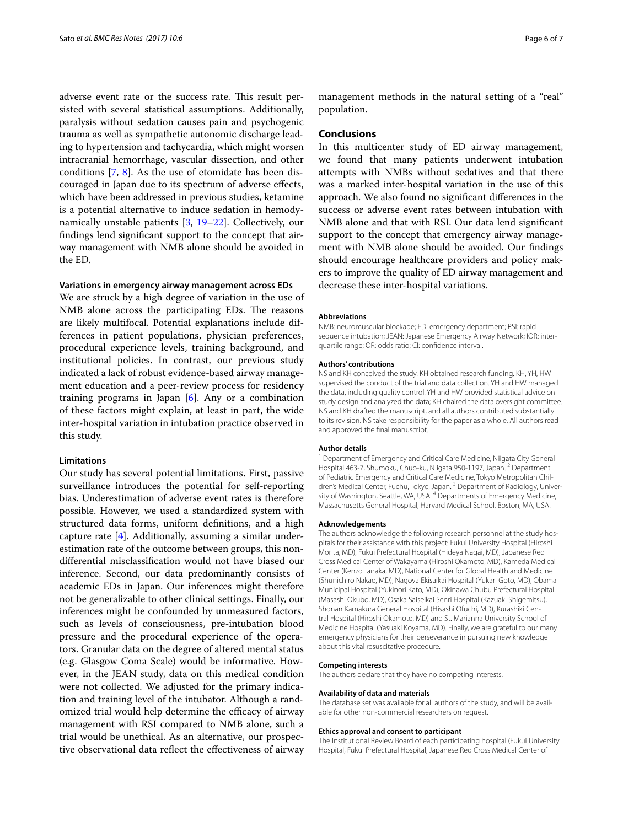adverse event rate or the success rate. This result persisted with several statistical assumptions. Additionally, paralysis without sedation causes pain and psychogenic trauma as well as sympathetic autonomic discharge leading to hypertension and tachycardia, which might worsen intracranial hemorrhage, vascular dissection, and other conditions [\[7](#page-6-5), [8\]](#page-6-6). As the use of etomidate has been discouraged in Japan due to its spectrum of adverse effects, which have been addressed in previous studies, ketamine is a potential alternative to induce sedation in hemodynamically unstable patients [\[3](#page-6-1), [19](#page-6-17)–[22\]](#page-6-18). Collectively, our findings lend significant support to the concept that airway management with NMB alone should be avoided in the ED.

## **Variations in emergency airway management across EDs**

We are struck by a high degree of variation in the use of NMB alone across the participating EDs. The reasons are likely multifocal. Potential explanations include differences in patient populations, physician preferences, procedural experience levels, training background, and institutional policies. In contrast, our previous study indicated a lack of robust evidence-based airway management education and a peer-review process for residency training programs in Japan  $[6]$  $[6]$ . Any or a combination of these factors might explain, at least in part, the wide inter-hospital variation in intubation practice observed in this study.

## **Limitations**

Our study has several potential limitations. First, passive surveillance introduces the potential for self-reporting bias. Underestimation of adverse event rates is therefore possible. However, we used a standardized system with structured data forms, uniform definitions, and a high capture rate [[4\]](#page-6-2). Additionally, assuming a similar underestimation rate of the outcome between groups, this nondifferential misclassification would not have biased our inference. Second, our data predominantly consists of academic EDs in Japan. Our inferences might therefore not be generalizable to other clinical settings. Finally, our inferences might be confounded by unmeasured factors, such as levels of consciousness, pre-intubation blood pressure and the procedural experience of the operators. Granular data on the degree of altered mental status (e.g. Glasgow Coma Scale) would be informative. However, in the JEAN study, data on this medical condition were not collected. We adjusted for the primary indication and training level of the intubator. Although a randomized trial would help determine the efficacy of airway management with RSI compared to NMB alone, such a trial would be unethical. As an alternative, our prospective observational data reflect the effectiveness of airway

management methods in the natural setting of a "real" population.

## **Conclusions**

In this multicenter study of ED airway management, we found that many patients underwent intubation attempts with NMBs without sedatives and that there was a marked inter-hospital variation in the use of this approach. We also found no significant differences in the success or adverse event rates between intubation with NMB alone and that with RSI. Our data lend significant support to the concept that emergency airway management with NMB alone should be avoided. Our findings should encourage healthcare providers and policy makers to improve the quality of ED airway management and decrease these inter-hospital variations.

#### **Abbreviations**

NMB: neuromuscular blockade; ED: emergency department; RSI: rapid sequence intubation; JEAN: Japanese Emergency Airway Network; IQR: interquartile range; OR: odds ratio; CI: confidence interval.

#### **Authors' contributions**

NS and KH conceived the study. KH obtained research funding. KH, YH, HW supervised the conduct of the trial and data collection. YH and HW managed the data, including quality control. YH and HW provided statistical advice on study design and analyzed the data; KH chaired the data oversight committee. NS and KH drafted the manuscript, and all authors contributed substantially to its revision. NS take responsibility for the paper as a whole. All authors read and approved the final manuscript.

### **Author details**

<sup>1</sup> Department of Emergency and Critical Care Medicine, Niigata City General Hospital 463-7, Shumoku, Chuo-ku, Niigata 950-1197, Japan. <sup>2</sup> Department of Pediatric Emergency and Critical Care Medicine, Tokyo Metropolitan Children's Medical Center, Fuchu, Tokyo, Japan. 3 Department of Radiology, University of Washington, Seattle, WA, USA. <sup>4</sup> Departments of Emergency Medicine, Massachusetts General Hospital, Harvard Medical School, Boston, MA, USA.

## **Acknowledgements**

The authors acknowledge the following research personnel at the study hospitals for their assistance with this project: Fukui University Hospital (Hiroshi Morita, MD), Fukui Prefectural Hospital (Hideya Nagai, MD), Japanese Red Cross Medical Center of Wakayama (Hiroshi Okamoto, MD), Kameda Medical Center (Kenzo Tanaka, MD), National Center for Global Health and Medicine (Shunichiro Nakao, MD), Nagoya Ekisaikai Hospital (Yukari Goto, MD), Obama Municipal Hospital (Yukinori Kato, MD), Okinawa Chubu Prefectural Hospital (Masashi Okubo, MD), Osaka Saiseikai Senri Hospital (Kazuaki Shigemitsu), Shonan Kamakura General Hospital (Hisashi Ofuchi, MD), Kurashiki Central Hospital (Hiroshi Okamoto, MD) and St. Marianna University School of Medicine Hospital (Yasuaki Koyama, MD). Finally, we are grateful to our many emergency physicians for their perseverance in pursuing new knowledge about this vital resuscitative procedure.

#### **Competing interests**

The authors declare that they have no competing interests.

#### **Availability of data and materials**

The database set was available for all authors of the study, and will be available for other non-commercial researchers on request.

#### **Ethics approval and consent to participant**

The Institutional Review Board of each participating hospital (Fukui University Hospital, Fukui Prefectural Hospital, Japanese Red Cross Medical Center of